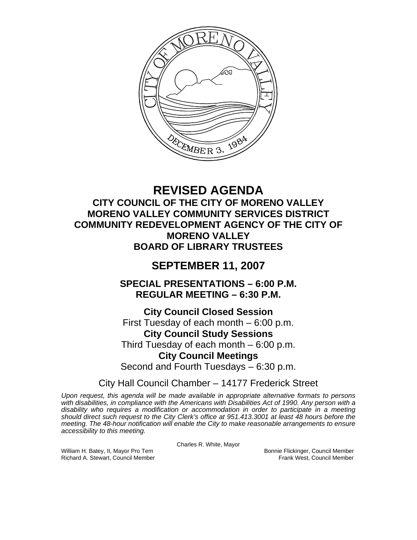

# **REVISED AGENDA CITY COUNCIL OF THE CITY OF MORENO VALLEY MORENO VALLEY COMMUNITY SERVICES DISTRICT COMMUNITY REDEVELOPMENT AGENCY OF THE CITY OF MORENO VALLEY BOARD OF LIBRARY TRUSTEES**

# **SEPTEMBER 11, 2007**

**SPECIAL PRESENTATIONS – 6:00 P.M. REGULAR MEETING – 6:30 P.M.** 

**City Council Closed Session**  First Tuesday of each month – 6:00 p.m. **City Council Study Sessions**  Third Tuesday of each month – 6:00 p.m. **City Council Meetings**  Second and Fourth Tuesdays – 6:30 p.m.

City Hall Council Chamber – 14177 Frederick Street

*Upon request, this agenda will be made available in appropriate alternative formats to persons with disabilities, in compliance with the Americans with Disabilities Act of 1990. Any person with a disability who requires a modification or accommodation in order to participate in a meeting should direct such request to the City Clerk's office at 951.413.3001 at least 48 hours before the meeting. The 48-hour notification will enable the City to make reasonable arrangements to ensure accessibility to this meeting.* 

Charles R. White, Mayor

Richard A. Stewart, Council Member

William H. Batey, II, Mayor Pro Tem Bonnie Flickinger, Council Member<br>Richard A. Stewart, Council Member Bonnie Frank West, Council Member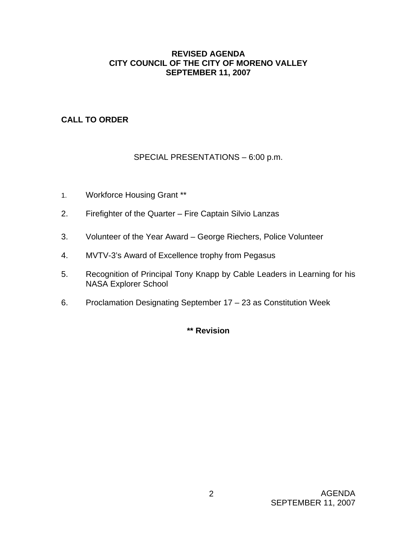## **REVISED AGENDA CITY COUNCIL OF THE CITY OF MORENO VALLEY SEPTEMBER 11, 2007**

# **CALL TO ORDER**

# SPECIAL PRESENTATIONS – 6:00 p.m.

- 1. Workforce Housing Grant \*\*
- 2. Firefighter of the Quarter Fire Captain Silvio Lanzas
- 3. Volunteer of the Year Award George Riechers, Police Volunteer
- 4. MVTV-3's Award of Excellence trophy from Pegasus
- 5. Recognition of Principal Tony Knapp by Cable Leaders in Learning for his NASA Explorer School
- 6. Proclamation Designating September 17 23 as Constitution Week

# **\*\* Revision**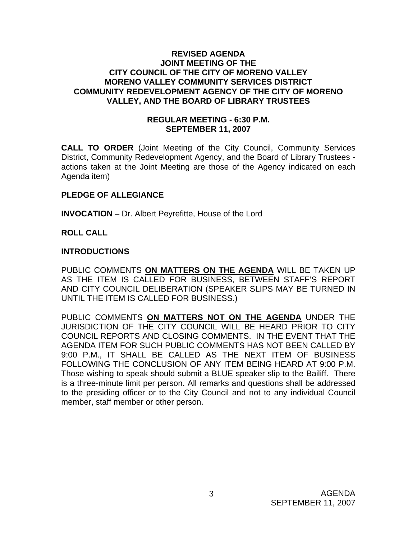#### **REVISED AGENDA JOINT MEETING OF THE CITY COUNCIL OF THE CITY OF MORENO VALLEY MORENO VALLEY COMMUNITY SERVICES DISTRICT COMMUNITY REDEVELOPMENT AGENCY OF THE CITY OF MORENO VALLEY, AND THE BOARD OF LIBRARY TRUSTEES**

### **REGULAR MEETING - 6:30 P.M. SEPTEMBER 11, 2007**

**CALL TO ORDER** (Joint Meeting of the City Council, Community Services District, Community Redevelopment Agency, and the Board of Library Trustees actions taken at the Joint Meeting are those of the Agency indicated on each Agenda item)

## **PLEDGE OF ALLEGIANCE**

**INVOCATION** – Dr. Albert Peyrefitte, House of the Lord

#### **ROLL CALL**

#### **INTRODUCTIONS**

PUBLIC COMMENTS **ON MATTERS ON THE AGENDA** WILL BE TAKEN UP AS THE ITEM IS CALLED FOR BUSINESS, BETWEEN STAFF'S REPORT AND CITY COUNCIL DELIBERATION (SPEAKER SLIPS MAY BE TURNED IN UNTIL THE ITEM IS CALLED FOR BUSINESS.)

PUBLIC COMMENTS **ON MATTERS NOT ON THE AGENDA** UNDER THE JURISDICTION OF THE CITY COUNCIL WILL BE HEARD PRIOR TO CITY COUNCIL REPORTS AND CLOSING COMMENTS. IN THE EVENT THAT THE AGENDA ITEM FOR SUCH PUBLIC COMMENTS HAS NOT BEEN CALLED BY 9:00 P.M., IT SHALL BE CALLED AS THE NEXT ITEM OF BUSINESS FOLLOWING THE CONCLUSION OF ANY ITEM BEING HEARD AT 9:00 P.M. Those wishing to speak should submit a BLUE speaker slip to the Bailiff. There is a three-minute limit per person. All remarks and questions shall be addressed to the presiding officer or to the City Council and not to any individual Council member, staff member or other person.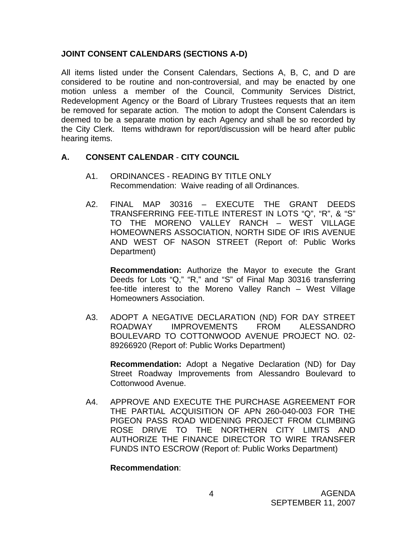## **JOINT CONSENT CALENDARS (SECTIONS A-D)**

All items listed under the Consent Calendars, Sections A, B, C, and D are considered to be routine and non-controversial, and may be enacted by one motion unless a member of the Council, Community Services District, Redevelopment Agency or the Board of Library Trustees requests that an item be removed for separate action. The motion to adopt the Consent Calendars is deemed to be a separate motion by each Agency and shall be so recorded by the City Clerk. Items withdrawn for report/discussion will be heard after public hearing items.

## **A. CONSENT CALENDAR** - **CITY COUNCIL**

- A1. ORDINANCES READING BY TITLE ONLY Recommendation: Waive reading of all Ordinances.
- A2. FINAL MAP 30316 EXECUTE THE GRANT DEEDS TRANSFERRING FEE-TITLE INTEREST IN LOTS "Q", "R", & "S" TO THE MORENO VALLEY RANCH – WEST VILLAGE HOMEOWNERS ASSOCIATION, NORTH SIDE OF IRIS AVENUE AND WEST OF NASON STREET (Report of: Public Works Department)

**Recommendation:** Authorize the Mayor to execute the Grant Deeds for Lots "Q," "R," and "S" of Final Map 30316 transferring fee-title interest to the Moreno Valley Ranch – West Village Homeowners Association.

A3. ADOPT A NEGATIVE DECLARATION (ND) FOR DAY STREET ROADWAY IMPROVEMENTS FROM ALESSANDRO BOULEVARD TO COTTONWOOD AVENUE PROJECT NO. 02- 89266920 (Report of: Public Works Department)

**Recommendation:** Adopt a Negative Declaration (ND) for Day Street Roadway Improvements from Alessandro Boulevard to Cottonwood Avenue.

A4. APPROVE AND EXECUTE THE PURCHASE AGREEMENT FOR THE PARTIAL ACQUISITION OF APN 260-040-003 FOR THE PIGEON PASS ROAD WIDENING PROJECT FROM CLIMBING ROSE DRIVE TO THE NORTHERN CITY LIMITS AND AUTHORIZE THE FINANCE DIRECTOR TO WIRE TRANSFER FUNDS INTO ESCROW (Report of: Public Works Department)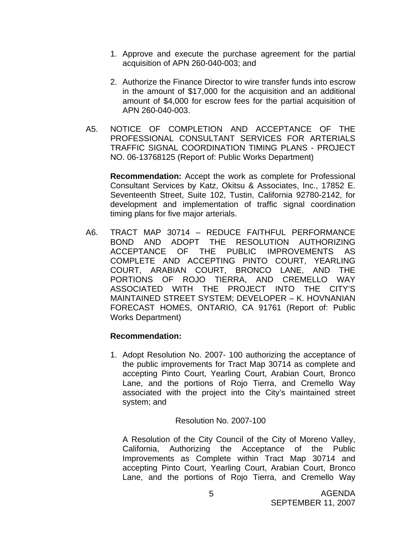- 1. Approve and execute the purchase agreement for the partial acquisition of APN 260-040-003; and
- 2. Authorize the Finance Director to wire transfer funds into escrow in the amount of \$17,000 for the acquisition and an additional amount of \$4,000 for escrow fees for the partial acquisition of APN 260-040-003.
- A5. NOTICE OF COMPLETION AND ACCEPTANCE OF THE PROFESSIONAL CONSULTANT SERVICES FOR ARTERIALS TRAFFIC SIGNAL COORDINATION TIMING PLANS - PROJECT NO. 06-13768125 (Report of: Public Works Department)

**Recommendation:** Accept the work as complete for Professional Consultant Services by Katz, Okitsu & Associates, Inc., 17852 E. Seventeenth Street, Suite 102, Tustin, California 92780-2142, for development and implementation of traffic signal coordination timing plans for five major arterials.

A6. TRACT MAP 30714 – REDUCE FAITHFUL PERFORMANCE BOND AND ADOPT THE RESOLUTION AUTHORIZING ACCEPTANCE OF THE PUBLIC IMPROVEMENTS AS COMPLETE AND ACCEPTING PINTO COURT, YEARLING COURT, ARABIAN COURT, BRONCO LANE, AND THE PORTIONS OF ROJO TIERRA, AND CREMELLO WAY ASSOCIATED WITH THE PROJECT INTO THE CITY'S MAINTAINED STREET SYSTEM; DEVELOPER – K. HOVNANIAN FORECAST HOMES, ONTARIO, CA 91761 (Report of: Public Works Department)

#### **Recommendation:**

1. Adopt Resolution No. 2007- 100 authorizing the acceptance of the public improvements for Tract Map 30714 as complete and accepting Pinto Court, Yearling Court, Arabian Court, Bronco Lane, and the portions of Rojo Tierra, and Cremello Way associated with the project into the City's maintained street system; and

#### Resolution No. 2007-100

 A Resolution of the City Council of the City of Moreno Valley, California, Authorizing the Acceptance of the Public Improvements as Complete within Tract Map 30714 and accepting Pinto Court, Yearling Court, Arabian Court, Bronco Lane, and the portions of Rojo Tierra, and Cremello Way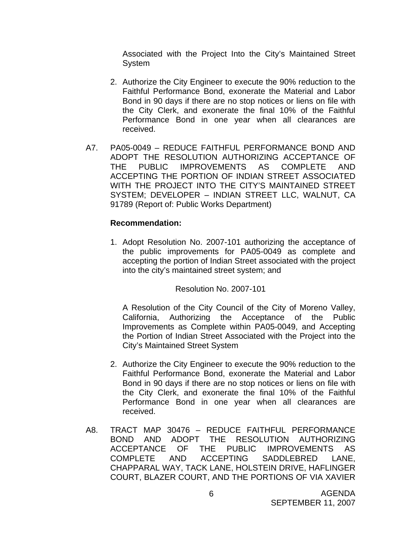Associated with the Project Into the City's Maintained Street System

- 2. Authorize the City Engineer to execute the 90% reduction to the Faithful Performance Bond, exonerate the Material and Labor Bond in 90 days if there are no stop notices or liens on file with the City Clerk, and exonerate the final 10% of the Faithful Performance Bond in one year when all clearances are received.
- A7. PA05-0049 REDUCE FAITHFUL PERFORMANCE BOND AND ADOPT THE RESOLUTION AUTHORIZING ACCEPTANCE OF THE PUBLIC IMPROVEMENTS AS COMPLETE AND ACCEPTING THE PORTION OF INDIAN STREET ASSOCIATED WITH THE PROJECT INTO THE CITY'S MAINTAINED STREET SYSTEM; DEVELOPER – INDIAN STREET LLC, WALNUT, CA 91789 (Report of: Public Works Department)

#### **Recommendation:**

1. Adopt Resolution No. 2007-101 authorizing the acceptance of the public improvements for PA05-0049 as complete and accepting the portion of Indian Street associated with the project into the city's maintained street system; and

Resolution No. 2007-101

 A Resolution of the City Council of the City of Moreno Valley, California, Authorizing the Acceptance of the Public Improvements as Complete within PA05-0049, and Accepting the Portion of Indian Street Associated with the Project into the City's Maintained Street System

- 2. Authorize the City Engineer to execute the 90% reduction to the Faithful Performance Bond, exonerate the Material and Labor Bond in 90 days if there are no stop notices or liens on file with the City Clerk, and exonerate the final 10% of the Faithful Performance Bond in one year when all clearances are received.
- A8. TRACT MAP 30476 REDUCE FAITHFUL PERFORMANCE BOND AND ADOPT THE RESOLUTION AUTHORIZING ACCEPTANCE OF THE PUBLIC IMPROVEMENTS AS COMPLETE AND ACCEPTING SADDLEBRED LANE, CHAPPARAL WAY, TACK LANE, HOLSTEIN DRIVE, HAFLINGER COURT, BLAZER COURT, AND THE PORTIONS OF VIA XAVIER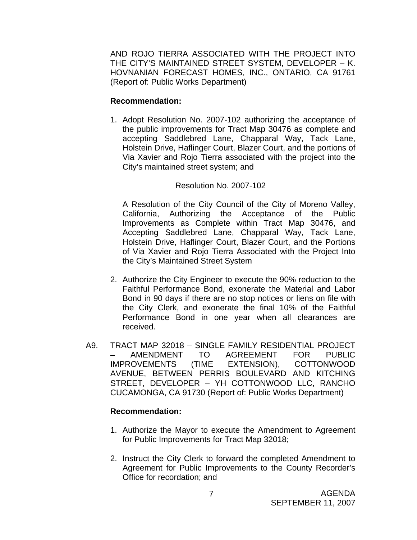AND ROJO TIERRA ASSOCIATED WITH THE PROJECT INTO THE CITY'S MAINTAINED STREET SYSTEM, DEVELOPER – K. HOVNANIAN FORECAST HOMES, INC., ONTARIO, CA 91761 (Report of: Public Works Department)

## **Recommendation:**

1. Adopt Resolution No. 2007-102 authorizing the acceptance of the public improvements for Tract Map 30476 as complete and accepting Saddlebred Lane, Chapparal Way, Tack Lane, Holstein Drive, Haflinger Court, Blazer Court, and the portions of Via Xavier and Rojo Tierra associated with the project into the City's maintained street system; and

## Resolution No. 2007-102

 A Resolution of the City Council of the City of Moreno Valley, California, Authorizing the Acceptance of the Public Improvements as Complete within Tract Map 30476, and Accepting Saddlebred Lane, Chapparal Way, Tack Lane, Holstein Drive, Haflinger Court, Blazer Court, and the Portions of Via Xavier and Rojo Tierra Associated with the Project Into the City's Maintained Street System

- 2. Authorize the City Engineer to execute the 90% reduction to the Faithful Performance Bond, exonerate the Material and Labor Bond in 90 days if there are no stop notices or liens on file with the City Clerk, and exonerate the final 10% of the Faithful Performance Bond in one year when all clearances are received.
- A9. TRACT MAP 32018 SINGLE FAMILY RESIDENTIAL PROJECT – AMENDMENT TO AGREEMENT FOR PUBLIC IMPROVEMENTS (TIME EXTENSION), COTTONWOOD AVENUE, BETWEEN PERRIS BOULEVARD AND KITCHING STREET, DEVELOPER – YH COTTONWOOD LLC, RANCHO CUCAMONGA, CA 91730 (Report of: Public Works Department)

- 1. Authorize the Mayor to execute the Amendment to Agreement for Public Improvements for Tract Map 32018;
- 2. Instruct the City Clerk to forward the completed Amendment to Agreement for Public Improvements to the County Recorder's Office for recordation; and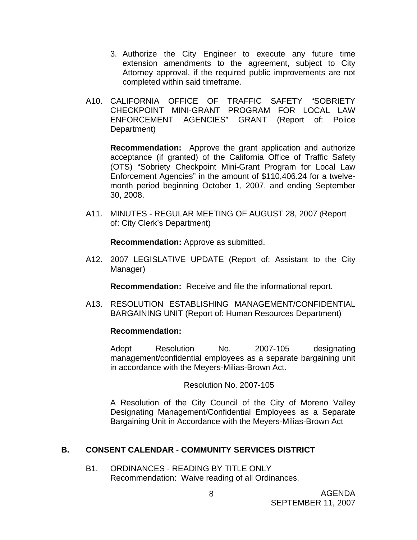- 3. Authorize the City Engineer to execute any future time extension amendments to the agreement, subject to City Attorney approval, if the required public improvements are not completed within said timeframe.
- A10. CALIFORNIA OFFICE OF TRAFFIC SAFETY "SOBRIETY CHECKPOINT MINI-GRANT PROGRAM FOR LOCAL LAW ENFORCEMENT AGENCIES" GRANT (Report of: Police Department)

**Recommendation:** Approve the grant application and authorize acceptance (if granted) of the California Office of Traffic Safety (OTS) "Sobriety Checkpoint Mini-Grant Program for Local Law Enforcement Agencies" in the amount of \$110,406.24 for a twelvemonth period beginning October 1, 2007, and ending September 30, 2008.

A11. MINUTES - REGULAR MEETING OF AUGUST 28, 2007 (Report of: City Clerk's Department)

**Recommendation:** Approve as submitted.

A12. 2007 LEGISLATIVE UPDATE (Report of: Assistant to the City Manager)

**Recommendation:** Receive and file the informational report.

A13. RESOLUTION ESTABLISHING MANAGEMENT/CONFIDENTIAL BARGAINING UNIT (Report of: Human Resources Department)

#### **Recommendation:**

 Adopt Resolution No. 2007-105 designating management/confidential employees as a separate bargaining unit in accordance with the Meyers-Milias-Brown Act.

Resolution No. 2007-105

 A Resolution of the City Council of the City of Moreno Valley Designating Management/Confidential Employees as a Separate Bargaining Unit in Accordance with the Meyers-Milias-Brown Act

# **B. CONSENT CALENDAR** - **COMMUNITY SERVICES DISTRICT**

B1. ORDINANCES - READING BY TITLE ONLY Recommendation: Waive reading of all Ordinances.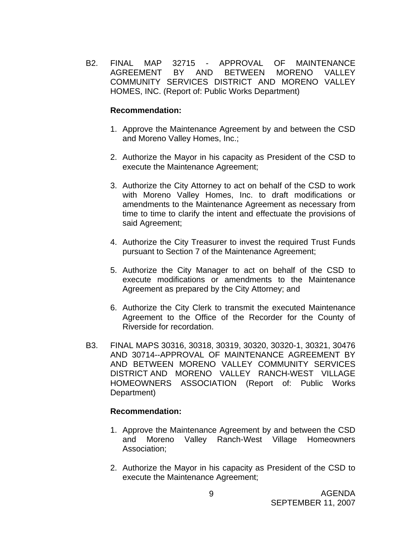B2. FINAL MAP 32715 - APPROVAL OF MAINTENANCE AGREEMENT BY AND BETWEEN MORENO VALLEY COMMUNITY SERVICES DISTRICT AND MORENO VALLEY HOMES, INC. (Report of: Public Works Department)

#### **Recommendation:**

- 1. Approve the Maintenance Agreement by and between the CSD and Moreno Valley Homes, Inc.;
- 2. Authorize the Mayor in his capacity as President of the CSD to execute the Maintenance Agreement;
- 3. Authorize the City Attorney to act on behalf of the CSD to work with Moreno Valley Homes, Inc. to draft modifications or amendments to the Maintenance Agreement as necessary from time to time to clarify the intent and effectuate the provisions of said Agreement;
- 4. Authorize the City Treasurer to invest the required Trust Funds pursuant to Section 7 of the Maintenance Agreement;
- 5. Authorize the City Manager to act on behalf of the CSD to execute modifications or amendments to the Maintenance Agreement as prepared by the City Attorney; and
- 6. Authorize the City Clerk to transmit the executed Maintenance Agreement to the Office of the Recorder for the County of Riverside for recordation.
- B3. FINAL MAPS 30316, 30318, 30319, 30320, 30320-1, 30321, 30476 AND 30714--APPROVAL OF MAINTENANCE AGREEMENT BY AND BETWEEN MORENO VALLEY COMMUNITY SERVICES DISTRICT AND MORENO VALLEY RANCH-WEST VILLAGE HOMEOWNERS ASSOCIATION (Report of: Public Works Department)

- 1. Approve the Maintenance Agreement by and between the CSD and Moreno Valley Ranch-West Village Homeowners Association;
- 2. Authorize the Mayor in his capacity as President of the CSD to execute the Maintenance Agreement;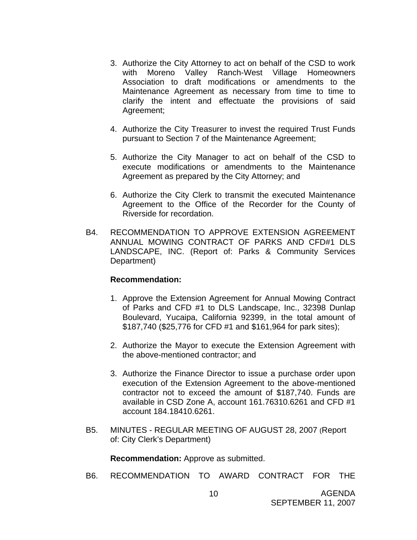- 3. Authorize the City Attorney to act on behalf of the CSD to work with Moreno Valley Ranch-West Village Homeowners Association to draft modifications or amendments to the Maintenance Agreement as necessary from time to time to clarify the intent and effectuate the provisions of said Agreement;
- 4. Authorize the City Treasurer to invest the required Trust Funds pursuant to Section 7 of the Maintenance Agreement;
- 5. Authorize the City Manager to act on behalf of the CSD to execute modifications or amendments to the Maintenance Agreement as prepared by the City Attorney; and
- 6. Authorize the City Clerk to transmit the executed Maintenance Agreement to the Office of the Recorder for the County of Riverside for recordation.
- B4. RECOMMENDATION TO APPROVE EXTENSION AGREEMENT ANNUAL MOWING CONTRACT OF PARKS AND CFD#1 DLS LANDSCAPE, INC. (Report of: Parks & Community Services Department)

#### **Recommendation:**

- 1. Approve the Extension Agreement for Annual Mowing Contract of Parks and CFD #1 to DLS Landscape, Inc., 32398 Dunlap Boulevard, Yucaipa, California 92399, in the total amount of \$187,740 (\$25,776 for CFD #1 and \$161,964 for park sites);
- 2. Authorize the Mayor to execute the Extension Agreement with the above-mentioned contractor; and
- 3. Authorize the Finance Director to issue a purchase order upon execution of the Extension Agreement to the above-mentioned contractor not to exceed the amount of \$187,740. Funds are available in CSD Zone A, account 161.76310.6261 and CFD #1 account 184.18410.6261.
- B5. MINUTES REGULAR MEETING OF AUGUST 28, 2007 (Report of: City Clerk's Department)

**Recommendation:** Approve as submitted.

B6. RECOMMENDATION TO AWARD CONTRACT FOR THE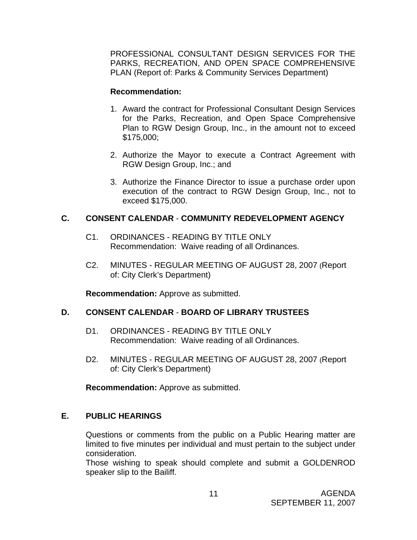PROFESSIONAL CONSULTANT DESIGN SERVICES FOR THE PARKS, RECREATION, AND OPEN SPACE COMPREHENSIVE PLAN (Report of: Parks & Community Services Department)

#### **Recommendation:**

- 1. Award the contract for Professional Consultant Design Services for the Parks, Recreation, and Open Space Comprehensive Plan to RGW Design Group, Inc., in the amount not to exceed \$175,000;
- 2. Authorize the Mayor to execute a Contract Agreement with RGW Design Group, Inc.; and
- 3. Authorize the Finance Director to issue a purchase order upon execution of the contract to RGW Design Group, Inc., not to exceed \$175,000.

## **C. CONSENT CALENDAR** - **COMMUNITY REDEVELOPMENT AGENCY**

- C1. ORDINANCES READING BY TITLE ONLY Recommendation: Waive reading of all Ordinances.
- C2. MINUTES REGULAR MEETING OF AUGUST 28, 2007 (Report of: City Clerk's Department)

**Recommendation:** Approve as submitted.

# **D. CONSENT CALENDAR** - **BOARD OF LIBRARY TRUSTEES**

- D1. ORDINANCES READING BY TITLE ONLY Recommendation: Waive reading of all Ordinances.
- D2. MINUTES REGULAR MEETING OF AUGUST 28, 2007 (Report of: City Clerk's Department)

**Recommendation:** Approve as submitted.

# **E. PUBLIC HEARINGS**

Questions or comments from the public on a Public Hearing matter are limited to five minutes per individual and must pertain to the subject under consideration.

 Those wishing to speak should complete and submit a GOLDENROD speaker slip to the Bailiff.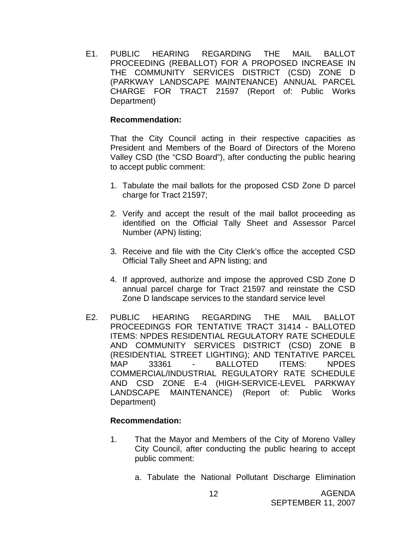E1. PUBLIC HEARING REGARDING THE MAIL BALLOT PROCEEDING (REBALLOT) FOR A PROPOSED INCREASE IN THE COMMUNITY SERVICES DISTRICT (CSD) ZONE D (PARKWAY LANDSCAPE MAINTENANCE) ANNUAL PARCEL CHARGE FOR TRACT 21597 (Report of: Public Works Department)

#### **Recommendation:**

That the City Council acting in their respective capacities as President and Members of the Board of Directors of the Moreno Valley CSD (the "CSD Board"), after conducting the public hearing to accept public comment:

- 1. Tabulate the mail ballots for the proposed CSD Zone D parcel charge for Tract 21597;
- 2. Verify and accept the result of the mail ballot proceeding as identified on the Official Tally Sheet and Assessor Parcel Number (APN) listing;
- 3. Receive and file with the City Clerk's office the accepted CSD Official Tally Sheet and APN listing; and
- 4. If approved, authorize and impose the approved CSD Zone D annual parcel charge for Tract 21597 and reinstate the CSD Zone D landscape services to the standard service level
- E2. PUBLIC HEARING REGARDING THE MAIL BALLOT PROCEEDINGS FOR TENTATIVE TRACT 31414 - BALLOTED ITEMS: NPDES RESIDENTIAL REGULATORY RATE SCHEDULE AND COMMUNITY SERVICES DISTRICT (CSD) ZONE B (RESIDENTIAL STREET LIGHTING); AND TENTATIVE PARCEL MAP 33361 - BALLOTED ITEMS: NPDES COMMERCIAL/INDUSTRIAL REGULATORY RATE SCHEDULE AND CSD ZONE E-4 (HIGH-SERVICE-LEVEL PARKWAY LANDSCAPE MAINTENANCE) (Report of: Public Works Department)

- 1. That the Mayor and Members of the City of Moreno Valley City Council, after conducting the public hearing to accept public comment:
	- a. Tabulate the National Pollutant Discharge Elimination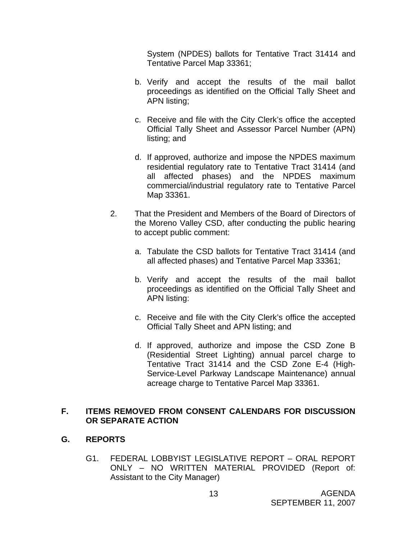System (NPDES) ballots for Tentative Tract 31414 and Tentative Parcel Map 33361;

- b. Verify and accept the results of the mail ballot proceedings as identified on the Official Tally Sheet and APN listing;
- c. Receive and file with the City Clerk's office the accepted Official Tally Sheet and Assessor Parcel Number (APN) listing; and
- d. If approved, authorize and impose the NPDES maximum residential regulatory rate to Tentative Tract 31414 (and all affected phases) and the NPDES maximum commercial/industrial regulatory rate to Tentative Parcel Map 33361.
- 2. That the President and Members of the Board of Directors of the Moreno Valley CSD, after conducting the public hearing to accept public comment:
	- a. Tabulate the CSD ballots for Tentative Tract 31414 (and all affected phases) and Tentative Parcel Map 33361;
	- b. Verify and accept the results of the mail ballot proceedings as identified on the Official Tally Sheet and APN listing:
	- c. Receive and file with the City Clerk's office the accepted Official Tally Sheet and APN listing; and
	- d. If approved, authorize and impose the CSD Zone B (Residential Street Lighting) annual parcel charge to Tentative Tract 31414 and the CSD Zone E-4 (High-Service-Level Parkway Landscape Maintenance) annual acreage charge to Tentative Parcel Map 33361.

## **F. ITEMS REMOVED FROM CONSENT CALENDARS FOR DISCUSSION OR SEPARATE ACTION**

# **G. REPORTS**

G1. FEDERAL LOBBYIST LEGISLATIVE REPORT – ORAL REPORT ONLY – NO WRITTEN MATERIAL PROVIDED (Report of: Assistant to the City Manager)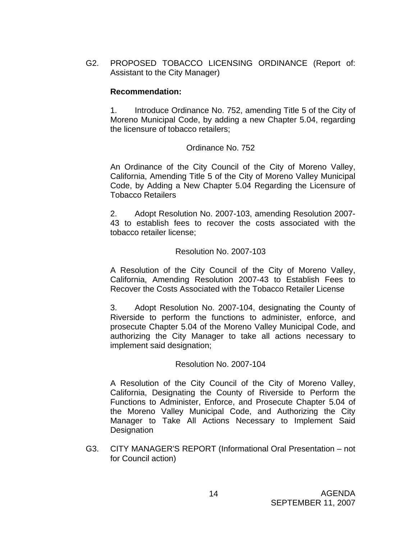G2. PROPOSED TOBACCO LICENSING ORDINANCE (Report of: Assistant to the City Manager)

#### **Recommendation:**

1. Introduce Ordinance No. 752, amending Title 5 of the City of Moreno Municipal Code, by adding a new Chapter 5.04, regarding the licensure of tobacco retailers;

# Ordinance No. 752

 An Ordinance of the City Council of the City of Moreno Valley, California, Amending Title 5 of the City of Moreno Valley Municipal Code, by Adding a New Chapter 5.04 Regarding the Licensure of Tobacco Retailers

 2. Adopt Resolution No. 2007-103, amending Resolution 2007- 43 to establish fees to recover the costs associated with the tobacco retailer license;

## Resolution No. 2007-103

 A Resolution of the City Council of the City of Moreno Valley, California, Amending Resolution 2007-43 to Establish Fees to Recover the Costs Associated with the Tobacco Retailer License

 3. Adopt Resolution No. 2007-104, designating the County of Riverside to perform the functions to administer, enforce, and prosecute Chapter 5.04 of the Moreno Valley Municipal Code, and authorizing the City Manager to take all actions necessary to implement said designation;

#### Resolution No. 2007-104

 A Resolution of the City Council of the City of Moreno Valley, California, Designating the County of Riverside to Perform the Functions to Administer, Enforce, and Prosecute Chapter 5.04 of the Moreno Valley Municipal Code, and Authorizing the City Manager to Take All Actions Necessary to Implement Said Designation

G3. CITY MANAGER'S REPORT (Informational Oral Presentation – not for Council action)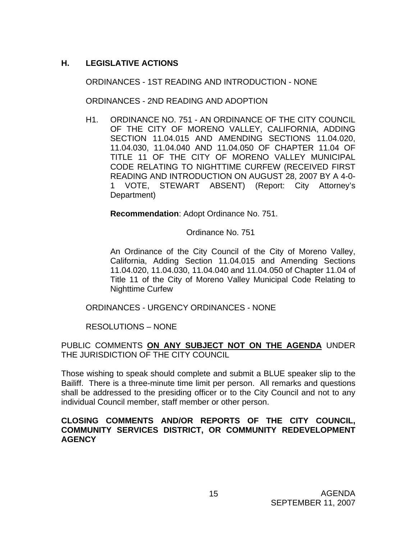# **H. LEGISLATIVE ACTIONS**

ORDINANCES - 1ST READING AND INTRODUCTION - NONE

ORDINANCES - 2ND READING AND ADOPTION

H1. ORDINANCE NO. 751 - AN ORDINANCE OF THE CITY COUNCIL OF THE CITY OF MORENO VALLEY, CALIFORNIA, ADDING SECTION 11.04.015 AND AMENDING SECTIONS 11.04.020, 11.04.030, 11.04.040 AND 11.04.050 OF CHAPTER 11.04 OF TITLE 11 OF THE CITY OF MORENO VALLEY MUNICIPAL CODE RELATING TO NIGHTTIME CURFEW (RECEIVED FIRST READING AND INTRODUCTION ON AUGUST 28, 2007 BY A 4-0- 1 VOTE, STEWART ABSENT) (Report: City Attorney's Department)

**Recommendation**: Adopt Ordinance No. 751.

Ordinance No. 751

 An Ordinance of the City Council of the City of Moreno Valley, California, Adding Section 11.04.015 and Amending Sections 11.04.020, 11.04.030, 11.04.040 and 11.04.050 of Chapter 11.04 of Title 11 of the City of Moreno Valley Municipal Code Relating to Nighttime Curfew

ORDINANCES - URGENCY ORDINANCES - NONE

RESOLUTIONS – NONE

PUBLIC COMMENTS **ON ANY SUBJECT NOT ON THE AGENDA** UNDER THE JURISDICTION OF THE CITY COUNCIL

Those wishing to speak should complete and submit a BLUE speaker slip to the Bailiff. There is a three-minute time limit per person. All remarks and questions shall be addressed to the presiding officer or to the City Council and not to any individual Council member, staff member or other person.

## **CLOSING COMMENTS AND/OR REPORTS OF THE CITY COUNCIL, COMMUNITY SERVICES DISTRICT, OR COMMUNITY REDEVELOPMENT AGENCY**